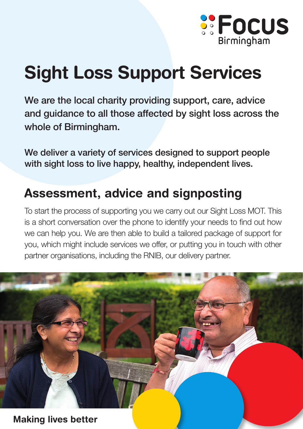

## Sight Loss Support Services

We are the local charity providing support, care, advice and guidance to all those affected by sight loss across the whole of Birmingham.

We deliver a variety of services designed to support people with sight loss to live happy, healthy, independent lives.

## Assessment, advice and signposting

To start the process of supporting you we carry out our Sight Loss MOT. This is a short conversation over the phone to identify your needs to find out how we can help you. We are then able to build a tailored package of support for you, which might include services we offer, or putting you in touch with other partner organisations, including the RNIB, our delivery partner.